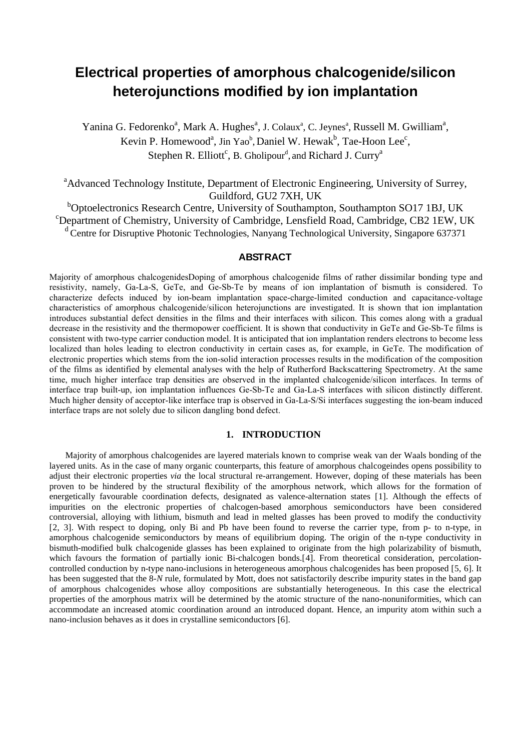# **Electrical properties of amorphous chalcogenide/silicon heterojunctions modified by ion implantation**

Yanina G. Fedorenko<sup>a</sup>, Mark A. Hughes<sup>a</sup>, J. Colaux<sup>a</sup>, C. Jeynes<sup>a</sup>, Russell M. Gwilliam<sup>a</sup>, Kevin P. Homewood<sup>a</sup>, Jin Yao<sup>b</sup>, Daniel W. Hewak<sup>b</sup>, Tae-Hoon Lee<sup>c</sup>, Stephen R. Elliott<sup>c</sup>, B. Gholipour<sup>d</sup>, and Richard J. Curry<sup>a</sup>

<sup>a</sup>Advanced Technology Institute, Department of Electronic Engineering, University of Surrey, Guildford, GU2 7XH, UK

<sup>b</sup>Optoelectronics Research Centre, University of Southampton, Southampton SO17 1BJ, UK<br><sup>c</sup>Department of Chemistry, University of Cembridge, Lengtiald Read, Cembridge, CB2,1EW, L Department of Chemistry, University of Cambridge, Lensfield Road, Cambridge, CB2 1EW, UK d Centre for Disruptive Photonic Technologies, Nanyang Technological University, Singapore 637371

## **ABSTRACT**

Majority of amorphous chalcogenidesDoping of amorphous chalcogenide films of rather dissimilar bonding type and resistivity, namely, Ga-La-S, GeTe, and Ge-Sb-Te by means of ion implantation of bismuth is considered. To characterize defects induced by ion-beam implantation space-charge-limited conduction and capacitance-voltage characteristics of amorphous chalcogenide/silicon heterojunctions are investigated. It is shown that ion implantation introduces substantial defect densities in the films and their interfaces with silicon. This comes along with a gradual decrease in the resistivity and the thermopower coefficient. It is shown that conductivity in GeTe and Ge-Sb-Te films is consistent with two-type carrier conduction model. It is anticipated that ion implantation renders electrons to become less localized than holes leading to electron conductivity in certain cases as, for example, in GeTe. The modification of electronic properties which stems from the ion-solid interaction processes results in the modification of the composition of the films as identified by elemental analyses with the help of Rutherford Backscattering Spectrometry. At the same time, much higher interface trap densities are observed in the implanted chalcogenide/silicon interfaces. In terms of interface trap built-up, ion implantation influences Ge-Sb-Te and Ga-La-S interfaces with silicon distinctly different. Much higher density of acceptor-like interface trap is observed in Ga-La-S/Si interfaces suggesting the ion-beam induced interface traps are not solely due to silicon dangling bond defect.

## **1. INTRODUCTION**

Majority of amorphous chalcogenides are layered materials known to comprise weak van der Waals bonding of the layered units. As in the case of many organic counterparts, this feature of amorphous chalcogeindes opens possibility to adjust their electronic properties *via* the local structural re-arrangement. However, doping of these materials has been proven to be hindered by the structural flexibility of the amorphous network, which allows for the formation of energetically favourable coordination defects, designated as valence-alternation states [[1](#page-6-0)]. Although the effects of impurities on the electronic properties of chalcogen-based amorphous semiconductors have been considered controversial, alloying with lithium, bismuth and lead in melted glasses has been proved to modify the conductivity [[2](#page-6-1), [3\]](#page-6-2). With respect to doping, only Bi and Pb have been found to reverse the carrier type, from p- to n-type, in amorphous chalcogenide semiconductors by means of equilibrium doping. The origin of the n-type conductivity in bismuth-modified bulk chalcogenide glasses has been explained to originate from the high polarizability of bismuth, which favours the formation of partially ionic Bi-chalcogen bonds.<sup>[[4\]](#page-6-3)</sup>. From theoretical consideration, percolationcontrolled conduction by n-type nano-inclusions in heterogeneous amorphous chalcogenides has been proposed [[5,](#page-6-4) [6](#page-6-5)]. It has been suggested that the 8*-N* rule, formulated by Mott, does not satisfactorily describe impurity states in the band gap of amorphous chalcogenides whose alloy compositions are substantially heterogeneous. In this case the electrical properties of the amorphous matrix will be determined by the atomic structure of the nano-nonuniformities, which can accommodate an increased atomic coordination around an introduced dopant. Hence, an impurity atom within such a nano-inclusion behaves as it does in crystalline semiconductors [6].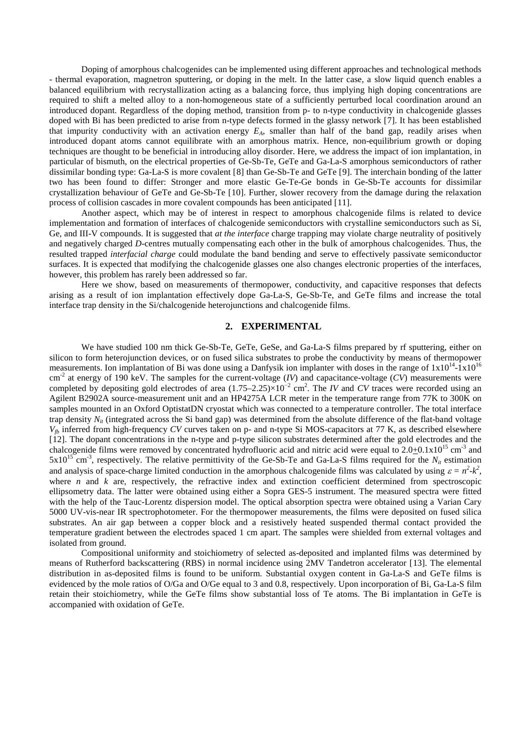Doping of amorphous chalcogenides can be implemented using different approaches and technological methods - thermal evaporation, magnetron sputtering, or doping in the melt. In the latter case, a slow liquid quench enables a balanced equilibrium with recrystallization acting as a balancing force, thus implying high doping concentrations are required to shift a melted alloy to a non-homogeneous state of a sufficiently perturbed local coordination around an introduced dopant. Regardless of the doping method, transition from p- to n-type conductivity in chalcogenide glasses doped with Bi has been predicted to arise from n-type defects formed in the glassy network [[7](#page-7-0)]. It has been established that impurity conductivity with an activation energy  $E_A$ , smaller than half of the band gap, readily arises when introduced dopant atoms cannot equilibrate with an amorphous matrix. Hence, non-equilibrium growth or doping techniques are thought to be beneficial in introducing alloy disorder. Here, we address the impact of ion implantation, in particular of bismuth, on the electrical properties of Ge-Sb-Te, GeTe and Ga-La-S amorphous semiconductors of rather dissimilar bonding type: Ga-La-S is more covalent [[8](#page-7-1)] than Ge-Sb-Te and GeTe [[9](#page-7-2)]. The interchain bonding of the latter two has been found to differ: Stronger and more elastic Ge-Te-Ge bonds in Ge-Sb-Te accounts for dissimilar crystallization behaviour of GeTe and Ge-Sb-Te [[10\]](#page-7-3). Further, slower recovery from the damage during the relaxation process of collision cascades in more covalent compounds has been anticipated [[11\]](#page-7-4).

Another aspect, which may be of interest in respect to amorphous chalcogenide films is related to device implementation and formation of interfaces of chalcogenide semiconductors with crystalline semiconductors such as Si, Ge, and III-V compounds. It is suggested that *at the interface* charge trapping may violate charge neutrality of positively and negatively charged *D*-centres mutually compensating each other in the bulk of amorphous chalcogenides. Thus, the resulted trapped *interfacial charge* could modulate the band bending and serve to effectively passivate semiconductor surfaces. It is expected that modifying the chalcogenide glasses one also changes electronic properties of the interfaces, however, this problem has rarely been addressed so far.

Here we show, based on measurements of thermopower, conductivity, and capacitive responses that defects arising as a result of ion implantation effectively dope Ga-La-S, Ge-Sb-Te, and GeTe films and increase the total interface trap density in the Si/chalcogenide heterojunctions and chalcogenide films.

## **2. EXPERIMENTAL**

We have studied 100 nm thick Ge-Sb-Te, GeTe, GeSe, and Ga-La-S films prepared by rf sputtering, either on silicon to form heterojunction devices, or on fused silica substrates to probe the conductivity by means of thermopower measurements. Ion implantation of Bi was done using a Danfysik ion implanter with doses in the range of  $1x10^{14}$ -1x10<sup>16</sup> cm-2 at energy of 190 keV. The samples for the current-voltage (*IV*) and capacitance-voltage (*CV*) measurements were completed by depositing gold electrodes of area (1.75–2.25)×10<sup>−</sup><sup>2</sup> cm2 . The *IV* and *CV* traces were recorded using an Agilent B2902A source-measurement unit and an HP4275A LCR meter in the temperature range from 77K to 300K on samples mounted in an Oxford OptistatDN cryostat which was connected to a temperature controller. The total interface trap density  $N_{it}$  (integrated across the Si band gap) was determined from the absolute difference of the flat-band voltage  $V_{fb}$  inferred from high-frequency *CV* curves taken on p- and n-type Si MOS-capacitors at 77 K, as described elsewhere [[12](#page-7-5)]. The dopant concentrations in the n-type and p-type silicon substrates determined after the gold electrodes and the chalcogenide films were removed by concentrated hydrofluoric acid and nitric acid were equal to  $2.0+0.1x10^{15}$  cm<sup>-3</sup> and  $5x10^{15}$  cm<sup>-3</sup>, respectively. The relative permittivity of the Ge-Sb-Te and Ga-La-S films required for the  $N_{it}$  estimation and analysis of space-charge limited conduction in the amorphous chalcogenide films was calculated by using  $\varepsilon = n^2 - k^2$ , where *n* and *k* are, respectively, the refractive index and extinction coefficient determined from spectroscopic ellipsometry data. The latter were obtained using either a Sopra GES-5 instrument. The measured spectra were fitted with the help of the Tauc-Lorentz dispersion model. The optical absorption spectra were obtained using a Varian Cary 5000 UV-vis-near IR spectrophotometer. For the thermopower measurements, the films were deposited on fused silica substrates. An air gap between a copper block and a resistively heated suspended thermal contact provided the temperature gradient between the electrodes spaced 1 cm apart. The samples were shielded from external voltages and isolated from ground.

Compositional uniformity and stoichiometry of selected as-deposited and implanted films was determined by means of Rutherford backscattering (RBS) in normal incidence using 2MV Tandetron accelerator [[13](#page-7-6)]. The elemental distribution in as-deposited films is found to be uniform. Substantial oxygen content in Ga-La-S and GeTe films is evidenced by the mole ratios of O/Ga and O/Ge equal to 3 and 0.8, respectively. Upon incorporation of Bi, Ga-La-S film retain their stoichiometry, while the GeTe films show substantial loss of Te atoms. The Bi implantation in GeTe is accompanied with oxidation of GeTe.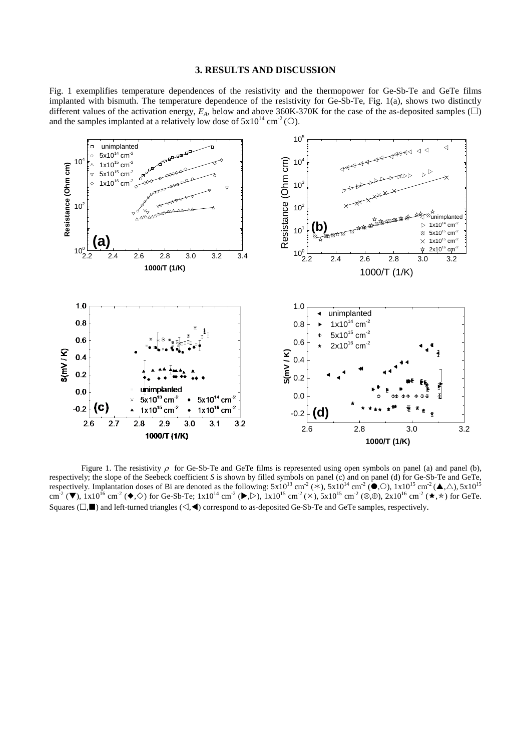#### **3. RESULTS AND DISCUSSION**

Fig. 1 exemplifies temperature dependences of the resistivity and the thermopower for Ge-Sb-Te and GeTe films implanted with bismuth. The temperature dependence of the resistivity for Ge-Sb-Te, Fig. 1(a), shows two distinctly different values of the activation energy,  $E_A$ , below and above 360K-370K for the case of the as-deposited samples ( $\square$ ) and the samples implanted at a relatively low dose of  $5x10^{14}$  cm<sup>-2</sup> (O).



Figure 1. The resistivity  $\rho$  for Ge-Sb-Te and GeTe films is represented using open symbols on panel (a) and panel (b), respectively; the slope of the Seebeck coefficient *S* is shown by filled symbols on panel (c) and on panel (d) for Ge-Sb-Te and GeTe, respectively. Implantation doses of Bi are denoted as the following:  $5x10^{13}$  cm<sup>-2</sup> (\*),  $5x10^{14}$  cm<sup>-2</sup> ( $\bullet$ ,  $\odot$ ),  $1x10^{15}$  cm<sup>-2</sup> ( $\bullet$ ,  $\triangle$ ),  $5x10^{15}$ cm<sup>-2</sup> ( $\nabla$ ), 1x10<sup>16</sup> cm<sup>-2</sup> ( $\blacklozenge$ ,  $\diamond$ ) for Ge-Sb-Te; 1x10<sup>14</sup> cm<sup>-2</sup> ( $\blacktriangleright$ ,  $\diamond$ ), 1x10<sup>15</sup> cm<sup>-2</sup> ( $\times$ ), 5x10<sup>15</sup> cm<sup>-2</sup> ( $\otimes$ ,  $\oplus$ ), 2x10<sup>16</sup> cm<sup>-2</sup> ( $\star$ ,  $\star$ ) for GeTe. Squares ( $\Box$ ) and left-turned triangles ( $\triangleleft$ , <) correspond to as-deposited Ge-Sb-Te and GeTe samples, respectively.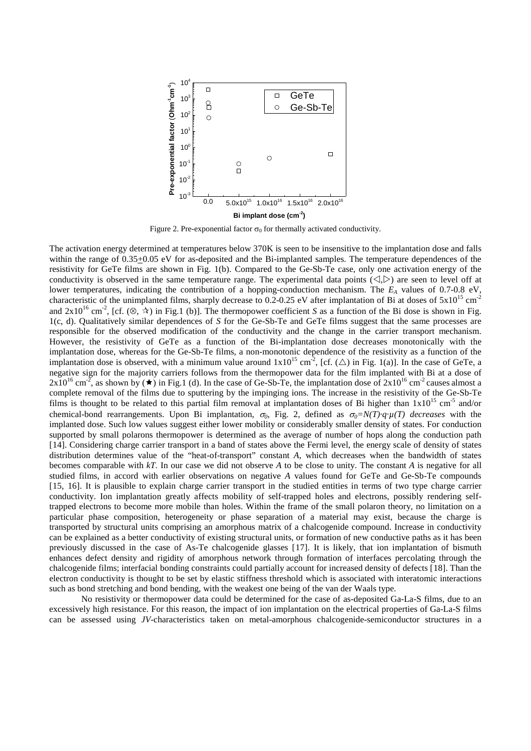

Figure 2. Pre-exponential factor  $\sigma_0$  for thermally activated conductivity.

The activation energy determined at temperatures below 370K is seen to be insensitive to the implantation dose and falls within the range of 0.35+0.05 eV for as-deposited and the Bi-implanted samples. The temperature dependences of the resistivity for GeTe films are shown in Fig. 1(b). Compared to the Ge-Sb-Te case, only one activation energy of the conductivity is observed in the same temperature range. The experimental data points  $(\langle \cdot, \rangle)$  are seen to level off at lower temperatures, indicating the contribution of a hopping-conduction mechanism. The  $E_A$  values of 0.7-0.8 eV, characteristic of the unimplanted films, sharply decrease to 0.2-0.25 eV after implantation of Bi at doses of  $5x10^{15}$  cm<sup>-2</sup> and  $2x10^{16}$  cm<sup>-2</sup>, [cf. ( $\otimes$ ,  $\star$ ) in Fig.1 (b)]. The thermopower coefficient *S* as a function of the Bi dose is shown in Fig. 1(c, d). Qualitatively similar dependences of *S* for the Ge-Sb-Te and GeTe films suggest that the same processes are responsible for the observed modification of the conductivity and the change in the carrier transport mechanism. However, the resistivity of GeTe as a function of the Bi-implantation dose decreases monotonically with the implantation dose, whereas for the Ge-Sb-Te films, a non-monotonic dependence of the resistivity as a function of the implantation dose is observed, with a minimum value around  $1x10^{15}$  cm<sup>-2</sup>, [cf. ( $\triangle$ ) in Fig. 1(a)]. In the case of GeTe, a negative sign for the majority carriers follows from the thermopower data for the film implanted with Bi at a dose of  $2x10^{16}$  cm<sup>-2</sup>, as shown by ( $\star$ ) in Fig.1 (d). In the case of Ge-Sb-Te, the implantation dose of  $2x10^{16}$  cm<sup>-2</sup> causes almost a complete removal of the films due to sputtering by the impinging ions. The increase in the resistivity of the Ge-Sb-Te films is thought to be related to this partial film removal at implantation doses of Bi higher than  $1x10^{15}$  cm<sup>-5</sup> and/or chemical-bond rearrangements. Upon Bi implantation,  $\sigma_0$ , Fig. 2, defined as  $\sigma_0 = N(T) \cdot q \cdot \mu(T)$  *decreases* with the implanted dose. Such low values suggest either lower mobility or considerably smaller density of states. For conduction supported by small polarons thermopower is determined as the average of number of hops along the conduction path [[14](#page-7-7)]. Considering charge carrier transport in a band of states above the Fermi level, the energy scale of density of states distribution determines value of the "heat-of-transport" constant *A*, which decreases when the bandwidth of states becomes comparable with *kT*. In our case we did not observe *A* to be close to unity. The constant *A* is negative for all studied films, in accord with earlier observations on negative *A* values found for GeTe and Ge-Sb-Te compounds [[15](#page-7-8), [16](#page-7-9)]. It is plausible to explain charge carrier transport in the studied entities in terms of two type charge carrier conductivity. Ion implantation greatly affects mobility of self-trapped holes and electrons, possibly rendering selftrapped electrons to become more mobile than holes. Within the frame of the small polaron theory, no limitation on a particular phase composition, heterogeneity or phase separation of a material may exist, because the charge is transported by structural units comprising an amorphous matrix of a chalcogenide compound. Increase in conductivity can be explained as a better conductivity of existing structural units, or formation of new conductive paths as it has been previously discussed in the case of As-Te chalcogenide glasses [[17\]](#page-7-10). It is likely, that ion implantation of bismuth enhances defect density and rigidity of amorphous network through formation of interfaces percolating through the chalcogenide films; interfacial bonding constraints could partially account for increased density of defects [[18](#page-7-11)]. Than the electron conductivity is thought to be set by elastic stiffness threshold which is associated with interatomic interactions such as bond stretching and bond bending, with the weakest one being of the van der Waals type.

No resistivity or thermopower data could be determined for the case of as-deposited Ga-La-S films, due to an excessively high resistance. For this reason, the impact of ion implantation on the electrical properties of Ga-La-S films can be assessed using *JV*-characteristics taken on metal-amorphous chalcogenide-semiconductor structures in a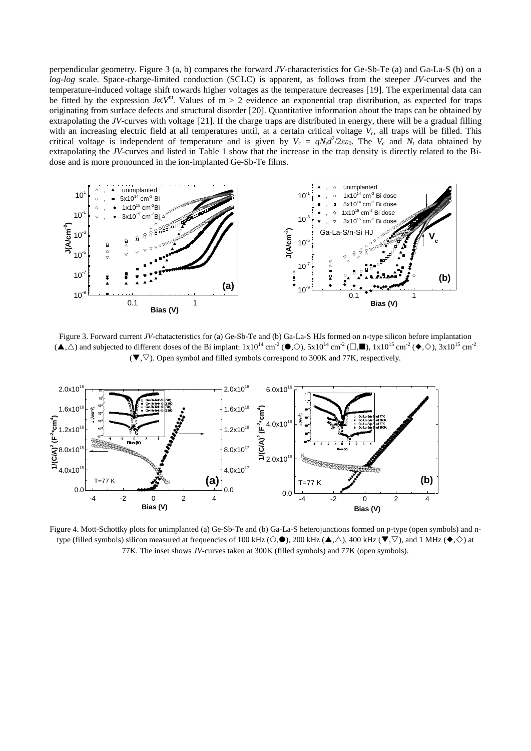perpendicular geometry. Figure 3 (a, b) compares the forward *JV*-characteristics for Ge-Sb-Te (a) and Ga-La-S (b) on a *log-log* scale. Space-charge-limited conduction (SCLC) is apparent, as follows from the steeper *JV*-curves and the temperature-induced voltage shift towards higher voltages as the temperature decreases [[19\]](#page-7-12). The experimental data can be fitted by the expression *J*∝*V*m. Values of m > 2 evidence an exponential trap distribution, as expected for traps originating from surface defects and structural disorder [[20\]](#page-7-13). Quantitative information about the traps can be obtained by extrapolating the *JV*-curves with voltage [[21](#page-7-14)]. If the charge traps are distributed in energy, there will be a gradual filling with an increasing electric field at all temperatures until, at a certain critical voltage  $V_c$ , all traps will be filled. This critical voltage is independent of temperature and is given by  $V_c = qN_t d^2/2\varepsilon \varepsilon_0$ . The  $V_c$  and  $N_t$  data obtained by extrapolating the *JV*-curves and listed in Table 1 show that the increase in the trap density is directly related to the Bidose and is more pronounced in the ion-implanted Ge-Sb-Te films.



Figure 3. Forward current *JV*-chatacteristics for (a) Ge-Sb-Te and (b) Ga-La-S HJs formed on n-type silicon before implantation  $(\blacktriangle, \triangle)$  and subjected to different doses of the Bi implant:  $1x10^{14}$  cm<sup>-2</sup> ( $\blacktriangledown, 5x10^{14}$  cm<sup>-2</sup> ( $\square, \blacksquare$ ),  $1x10^{15}$  cm<sup>-2</sup> ( $\blacklozenge, \diamondsuit$ ),  $3x10^{15}$  cm<sup>-2</sup>  $(\nabla,\nabla)$ . Open symbol and filled symbols correspond to 300K and 77K, respectively.



Figure 4. Mott-Schottky plots for unimplanted (a) Ge-Sb-Te and (b) Ga-La-S heterojunctions formed on p-type (open symbols) and ntype (filled symbols) silicon measured at frequencies of 100 kHz ( $\bigcirc$ , $\bullet$ ), 200 kHz ( $\blacktriangle$ , $\bigtriangleup$ ), 400 kHz ( $\nabla$ , $\bigtriangledown$ ), and 1 MHz ( $\blacklozenge$ , $\Diamond$ ) at 77K. The inset shows *JV*-curves taken at 300K (filled symbols) and 77K (open symbols).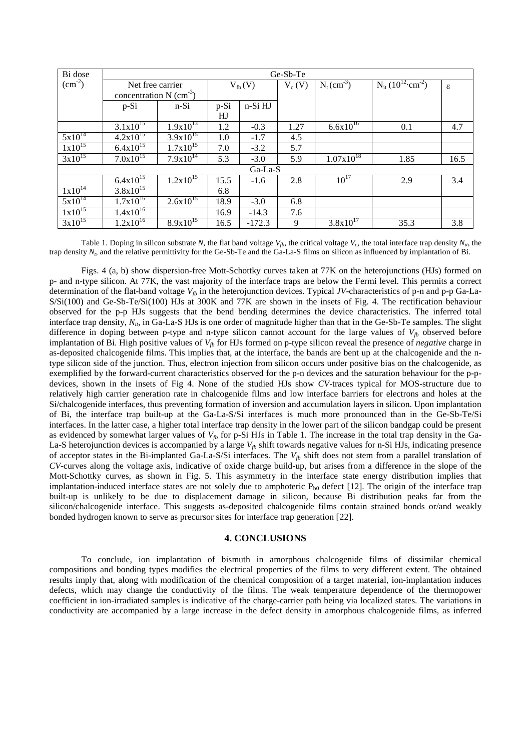| Bi dose         | Ge-Sb-Te                              |                          |             |          |          |                           |                                               |      |
|-----------------|---------------------------------------|--------------------------|-------------|----------|----------|---------------------------|-----------------------------------------------|------|
| $\rm (cm^{-2})$ | Net free carrier                      |                          | $V_{fb}(V)$ |          | $V_c(V)$ | $N_t$ (cm <sup>-3</sup> ) | $N_{it}$ (10 <sup>12</sup> cm <sup>-2</sup> ) | ε    |
|                 | concentration $N$ (cm <sup>-3</sup> ) |                          |             |          |          |                           |                                               |      |
|                 | $p-Si$                                | $n-Si$                   | $p-Si$      | n-Si HJ  |          |                           |                                               |      |
|                 |                                       |                          | HJ          |          |          |                           |                                               |      |
|                 | $3.1x10^{15}$                         | $1.9x10^{13}$            | 1.2         | $-0.3$   | 1.27     | $6.6x10^{16}$             | 0.1                                           | 4.7  |
| $5x10^{14}$     | $4.2x10^{15}$                         | $3.9x10^{15}$            | 1.0         | $-1.7$   | 4.5      |                           |                                               |      |
| $1x10^{15}$     | $6.4x10^{15}$                         | $1.7x10^{15}$            | 7.0         | $-3.2$   | 5.7      |                           |                                               |      |
| $3x10^{15}$     | $7.0x10^{15}$                         | $7.9x\overline{10^{14}}$ | 5.3         | $-3.0$   | 5.9      | $1.07 \times 10^{18}$     | 1.85                                          | 16.5 |
| Ga-La-S         |                                       |                          |             |          |          |                           |                                               |      |
|                 | $6.4x10^{15}$                         | $1.2x\overline{10^{15}}$ | 15.5        | $-1.6$   | 2.8      | $10^{17}$                 | 2.9                                           | 3.4  |
| $1x10^{14}$     | $3.8x10^{15}$                         |                          | 6.8         |          |          |                           |                                               |      |
| $5x10^{14}$     | $1.7x10^{16}$                         | $2.6x10^{15}$            | 18.9        | $-3.0$   | 6.8      |                           |                                               |      |
| $1x10^{15}$     | $1.4x10^{16}$                         |                          | 16.9        | $-14.3$  | 7.6      |                           |                                               |      |
| $3x10^{15}$     | $1.2x\overline{10^{16}}$              | $8.9x10^{15}$            | 16.5        | $-172.3$ | 9        | $3.8x10^{17}$             | 35.3                                          | 3.8  |

Table 1. Doping in silicon substrate N, the flat band voltage  $V_{ab}$ , the critical voltage  $V_{cb}$ , the total interface trap density  $N_{ib}$ , the trap density *Nt*, and the relative permittivity for the Ge-Sb-Te and the Ga-La-S films on silicon as influenced by implantation of Bi.

Figs. 4 (a, b) show dispersion-free Mott-Schottky curves taken at 77K on the heterojunctions (HJs) formed on p- and n-type silicon. At 77K, the vast majority of the interface traps are below the Fermi level. This permits a correct determination of the flat-band voltage  $V_{fb}$  in the heterojunction devices. Typical *JV*-characteristics of p-n and p-p Ga-La-S/Si(100) and Ge-Sb-Te/Si(100) HJs at 300K and 77K are shown in the insets of Fig. 4. The rectification behaviour observed for the p-p HJs suggests that the bend bending determines the device characteristics. The inferred total interface trap density,  $N_{ii}$ , in Ga-La-S HJs is one order of magnitude higher than that in the Ge-Sb-Te samples. The slight difference in doping between p-type and n-type silicon cannot account for the large values of  $V_{\beta}$  observed before implantation of Bi. High positive values of  $V_{fb}$  for HJs formed on p-type silicon reveal the presence of *negative* charge in as-deposited chalcogenide films. This implies that, at the interface, the bands are bent up at the chalcogenide and the ntype silicon side of the junction. Thus, electron injection from silicon occurs under positive bias on the chalcogenide, as exemplified by the forward-current characteristics observed for the p-n devices and the saturation behaviour for the p-pdevices, shown in the insets of Fig 4. None of the studied HJs show *CV*-traces typical for MOS-structure due to relatively high carrier generation rate in chalcogenide films and low interface barriers for electrons and holes at the Si/chalcogenide interfaces, thus preventing formation of inversion and accumulation layers in silicon. Upon implantation of Bi, the interface trap built-up at the Ga-La-S/Si interfaces is much more pronounced than in the Ge-Sb-Te/Si interfaces. In the latter case, a higher total interface trap density in the lower part of the silicon bandgap could be present as evidenced by somewhat larger values of  $V<sub>tb</sub>$  for p-Si HJs in Table 1. The increase in the total trap density in the Ga-La-S heterojunction devices is accompanied by a large  $V<sub>f</sub>$  shift towards negative values for n-Si HJs, indicating presence of acceptor states in the Bi-implanted Ga-La-S/Si interfaces. The  $V_{fb}$  shift does not stem from a parallel translation of *CV*-curves along the voltage axis, indicative of oxide charge build-up, but arises from a difference in the slope of the Mott-Schottky curves, as shown in Fig. 5. This asymmetry in the interface state energy distribution implies that implantation-induced interface states are not solely due to amphoteric  $P_{b0}$  defect [12]. The origin of the interface trap built-up is unlikely to be due to displacement damage in silicon, because Bi distribution peaks far from the silicon/chalcogenide interface. This suggests as-deposited chalcogenide films contain strained bonds or/and weakly bonded hydrogen known to serve as precursor sites for interface trap generation [[22\]](#page-7-15).

#### **4. CONCLUSIONS**

To conclude, ion implantation of bismuth in amorphous chalcogenide films of dissimilar chemical compositions and bonding types modifies the electrical properties of the films to very different extent. The obtained results imply that, along with modification of the chemical composition of a target material, ion-implantation induces defects, which may change the conductivity of the films. The weak temperature dependence of the thermopower coefficient in ion-irradiated samples is indicative of the charge-carrier path being via localized states. The variations in conductivity are accompanied by a large increase in the defect density in amorphous chalcogenide films, as inferred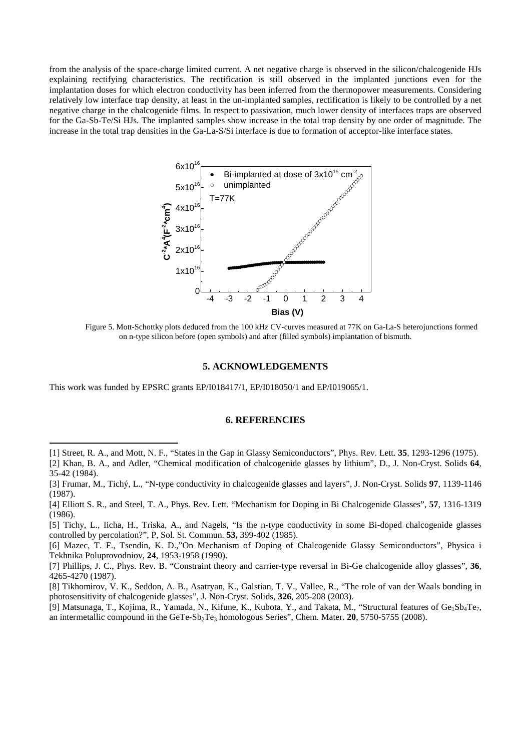from the analysis of the space-charge limited current. A net negative charge is observed in the silicon/chalcogenide HJs explaining rectifying characteristics. The rectification is still observed in the implanted junctions even for the implantation doses for which electron conductivity has been inferred from the thermopower measurements. Considering relatively low interface trap density, at least in the un-implanted samples, rectification is likely to be controlled by a net negative charge in the chalcogenide films. In respect to passivation, much lower density of interfaces traps are observed for the Ga-Sb-Te/Si HJs. The implanted samples show increase in the total trap density by one order of magnitude. The increase in the total trap densities in the Ga-La-S/Si interface is due to formation of acceptor-like interface states.



Figure 5. Mott-Schottky plots deduced from the 100 kHz CV-curves measured at 77K on Ga-La-S heterojunctions formed on n-type silicon before (open symbols) and after (filled symbols) implantation of bismuth.

#### **5. ACKNOWLEDGEMENTS**

This work was funded by EPSRC grants EP/I018417/1, EP/I018050/1 and EP/I019065/1.

 $\overline{a}$ 

#### **6. REFERENCIES**

<span id="page-6-0"></span><sup>[1]</sup> Street, R. A., and Mott, N. F., "States in the Gap in Glassy Semiconductors", Phys. Rev. Lett. **35**, 1293-1296 (1975).

<span id="page-6-1"></span><sup>[2]</sup> Khan, B. A., and Adler, "Chemical modification of chalcogenide glasses by lithium", D., J. Non-Cryst. Solids **64**, 35-42 (1984).

<span id="page-6-2"></span><sup>[3]</sup> Frumar, M., Tichý, L., "N-type conductivity in chalcogenide glasses and layers", J. Non-Cryst. Solids **97**, 1139-1146 (1987).

<span id="page-6-3"></span><sup>[4]</sup> Elliott S. R., and Steel, T. A., Phys. Rev. Lett. "Mechanism for Doping in Bi Chalcogenide Glasses", **57**, 1316-1319 (1986).

<span id="page-6-4"></span><sup>[5]</sup> Tichy, L., Iicha, H., Triska, A., and Nagels, "Is the n-type conductivity in some Bi-doped chalcogenide glasses controlled by percolation?", P, Sol. St. Commun. **53,** 399-402 (1985).

<span id="page-6-5"></span><sup>[6]</sup> Mazec, T. F., Tsendin, K. D.,"On Mechanism of Doping of Chalcogenide Glassy Semiconductors", Physica i Tekhnika Poluprovodniov, **24**, 1953-1958 (1990).

<sup>[7]</sup> Phillips, J. C., Phys. Rev. B. "Constraint theory and carrier-type reversal in Bi-Ge chalcogenide alloy glasses", **36**, 4265-4270 (1987).

<sup>[8]</sup> Tikhomirov, V. K., Seddon, A. B., Asatryan, K., Galstian, T. V., Vallee, R., "The role of van der Waals bonding in photosensitivity of chalcogenide glasses", J. Non-Cryst. Solids, **326**, 205-208 (2003).

<sup>[9]</sup> Matsunaga, T., Kojima, R., Yamada, N., Kifune, K., Kubota, Y., and Takata, M., "Structural features of Ge<sub>1</sub>Sb<sub>4</sub>Te<sub>7</sub>, an intermetallic compound in the GeTe-Sb<sub>2</sub>Te<sub>3</sub> homologous Series", Chem. Mater. **20**, 5750-5755 (2008).